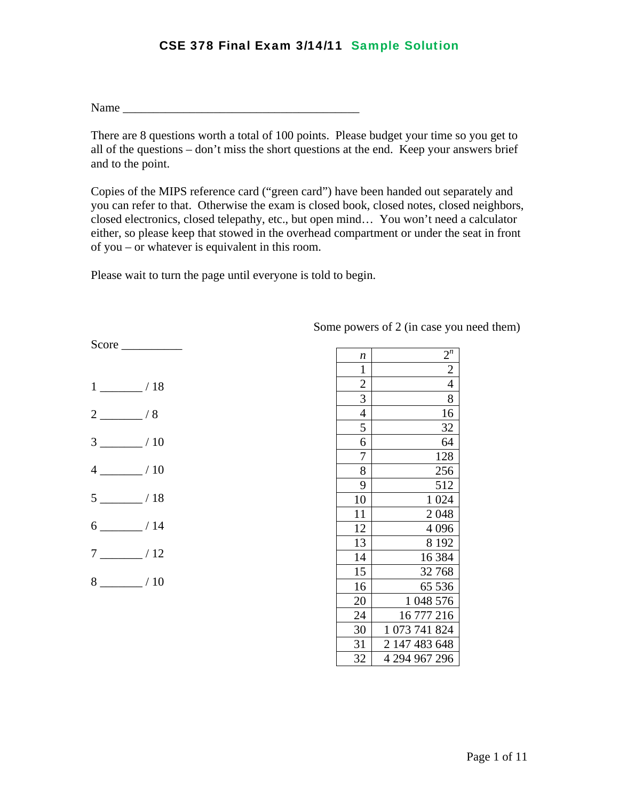$Name$ 

There are 8 questions worth a total of 100 points. Please budget your time so you get to all of the questions – don't miss the short questions at the end. Keep your answers brief and to the point.

Copies of the MIPS reference card ("green card") have been handed out separately and you can refer to that. Otherwise the exam is closed book, closed notes, closed neighbors, closed electronics, closed telepathy, etc., but open mind… You won't need a calculator either, so please keep that stowed in the overhead compartment or under the seat in front of you – or whatever is equivalent in this room.

Please wait to turn the page until everyone is told to begin.

| $1 \underline{\hspace{1cm}}$ / 18 |
|-----------------------------------|
| $2 \sim 8$                        |
| $3 \ \frac{\ }{10}$               |
| $4 \frac{\ }{\ }$ / 10            |
| $5 \_ 18$                         |
| $6 \quad \overline{\quad}$ / 14   |
| $7 \underline{\hspace{1cm}}$ / 12 |
| $8 \underline{\hspace{1cm}}$ / 10 |

Score \_\_\_\_\_\_\_\_\_\_

Some powers of 2 (in case you need them)

| n              | $2^n$                       |
|----------------|-----------------------------|
| $\mathbf{1}$   | $\frac{1}{2}$               |
| $\overline{c}$ | $\overline{4}$              |
| $\overline{3}$ | 8                           |
| $\overline{4}$ | 16                          |
| 5              | 32                          |
| 6              | 64                          |
| 7              | 128                         |
| 8              | 256                         |
| 9              | 512                         |
| 10             | 1 0 24                      |
| 11             | 2048                        |
| 12             | 4 0 9 6                     |
| 13             | 8 1 9 2                     |
| 14             | 16 3 84                     |
| 15             | 32768                       |
| 16             | 65 536                      |
| 20             | 1 048 576                   |
| 24             | 16 777 216                  |
| 30             | $\mathbf{1}$<br>073 741 824 |
| 31             | 2 147 483 648               |
| 32             | 4 294 967 296               |
|                |                             |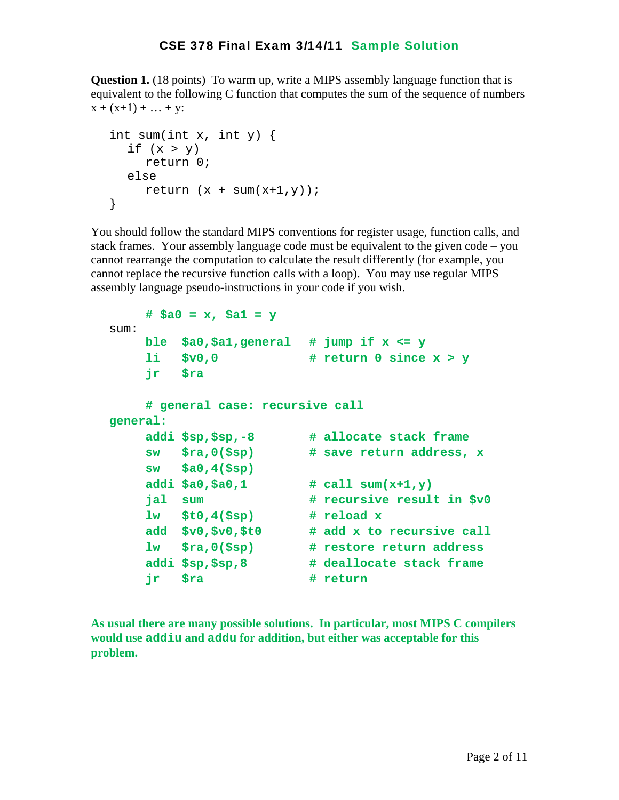**Question 1.** (18 points) To warm up, write a MIPS assembly language function that is equivalent to the following C function that computes the sum of the sequence of numbers  $x + (x+1) + ... + y$ :

```
 int sum(int x, int y) { 
  if (x > y) return 0; 
   else 
     return (x + sum(x+1, y));
 }
```
You should follow the standard MIPS conventions for register usage, function calls, and stack frames. Your assembly language code must be equivalent to the given code – you cannot rearrange the computation to calculate the result differently (for example, you cannot replace the recursive function calls with a loop). You may use regular MIPS assembly language pseudo-instructions in your code if you wish.

```
 # $a0 = x, $a1 = y 
 sum: 
     ble $a0,$a1,general # jump if x <= y 
     li $v0,0 # return 0 since x > y 
     jr $ra 
     # general case: recursive call 
 general: 
     addi $sp,$sp,-8 # allocate stack frame 
     sw $ra,0($sp) # save return address, x 
     sw $a0,4($sp) 
     addi $a0,$a0,1 # call sum(x+1,y) 
     jal sum # recursive result in $v0 
     lw $t0,4($sp) # reload x 
     add $v0,$v0,$t0 # add x to recursive call 
     lw $ra,0($sp) # restore return address 
     addi $sp,$sp,8 # deallocate stack frame 
    ir $ra # return
```
**As usual there are many possible solutions. In particular, most MIPS C compilers would use addiu and addu for addition, but either was acceptable for this problem.**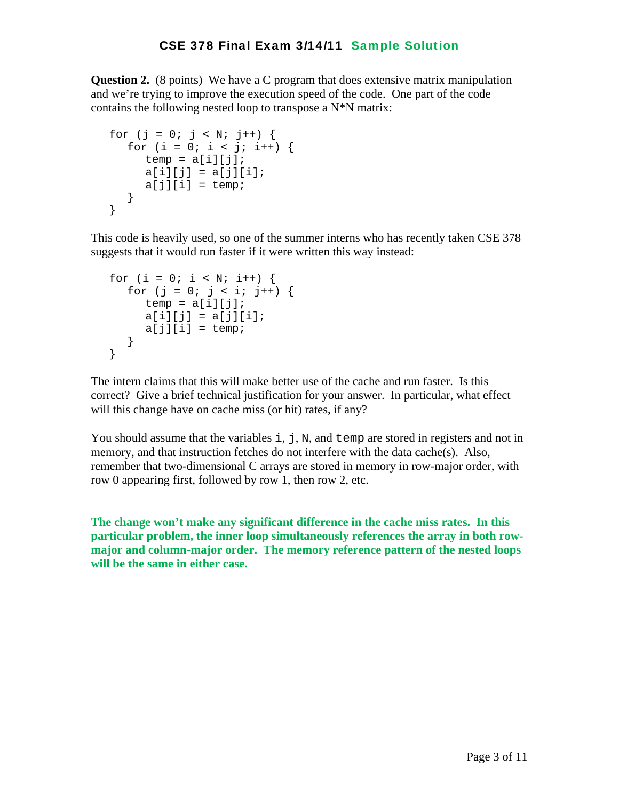**Question 2.** (8 points) We have a C program that does extensive matrix manipulation and we're trying to improve the execution speed of the code. One part of the code contains the following nested loop to transpose a  $N^*N$  matrix:

```
for (j = 0; j < N; j++) {
  for (i = 0; i < j; i++) {
     temp = a[i][j];a[i][j] = a[j][i];a[j][i] = temp; } 
 }
```
This code is heavily used, so one of the summer interns who has recently taken CSE 378 suggests that it would run faster if it were written this way instead:

```
for (i = 0; i < N; i++) {
  for (j = 0; j < i; j++) {
     temp = a[i][j];a[i][j] = a[j][i];a[j][i] = temp; } 
 }
```
The intern claims that this will make better use of the cache and run faster. Is this correct? Give a brief technical justification for your answer. In particular, what effect will this change have on cache miss (or hit) rates, if any?

You should assume that the variables  $\pm$ ,  $\pm$ ,  $\pm$ ,  $\pm$ , and  $\pm$  emp are stored in registers and not in memory, and that instruction fetches do not interfere with the data cache $(s)$ . Also, remember that two-dimensional C arrays are stored in memory in row-major order, with row 0 appearing first, followed by row 1, then row 2, etc.

**The change won't make any significant difference in the cache miss rates. In this particular problem, the inner loop simultaneously references the array in both rowmajor and column-major order. The memory reference pattern of the nested loops will be the same in either case.**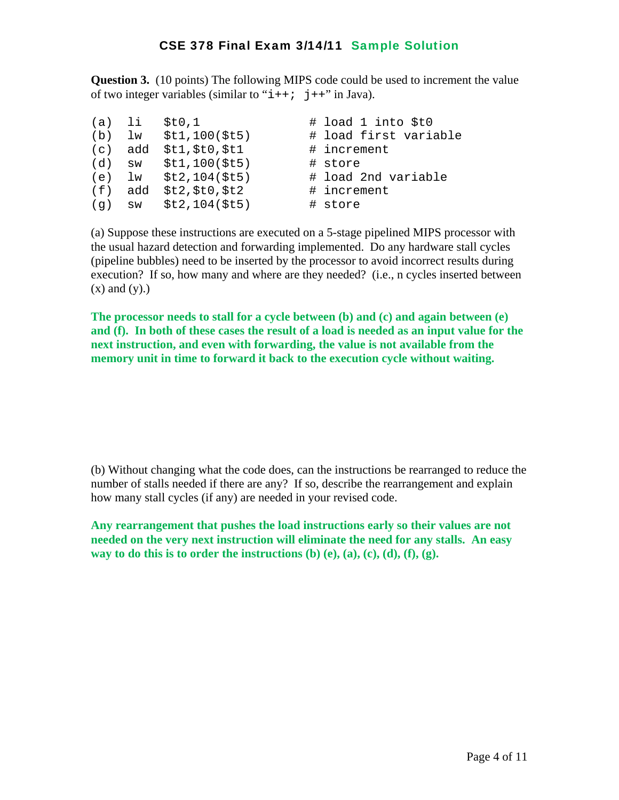**Question 3.** (10 points) The following MIPS code could be used to increment the value of two integer variables (similar to " $i++$ ;  $j++$ " in Java).

| (a) li |          | StO.1                     | # load 1 into \$t0    |
|--------|----------|---------------------------|-----------------------|
|        | $(b)$ lw | \$t1,100(St5)             | # load first variable |
|        | (c) add  | \$t1, \$t0, \$t1          | # increment           |
|        |          | (d) $sw$ $$t1,100 ($t5)$  | # store               |
|        |          | (e) $lw$ $$t2, 104 ($t5)$ | # load 2nd variable   |
|        | (f) add  | \$t2, \$t0, \$t2          | # increment           |
|        |          | $(g)$ sw $$t2, 104 ($t5)$ | # store               |

(a) Suppose these instructions are executed on a 5-stage pipelined MIPS processor with the usual hazard detection and forwarding implemented. Do any hardware stall cycles (pipeline bubbles) need to be inserted by the processor to avoid incorrect results during execution? If so, how many and where are they needed? (i.e., n cycles inserted between  $(x)$  and  $(y)$ .)

**The processor needs to stall for a cycle between (b) and (c) and again between (e) and (f). In both of these cases the result of a load is needed as an input value for the next instruction, and even with forwarding, the value is not available from the memory unit in time to forward it back to the execution cycle without waiting.**

(b) Without changing what the code does, can the instructions be rearranged to reduce the number of stalls needed if there are any? If so, describe the rearrangement and explain how many stall cycles (if any) are needed in your revised code.

**Any rearrangement that pushes the load instructions early so their values are not needed on the very next instruction will eliminate the need for any stalls. An easy way to do this is to order the instructions (b) (e), (a), (c), (d), (f), (g).**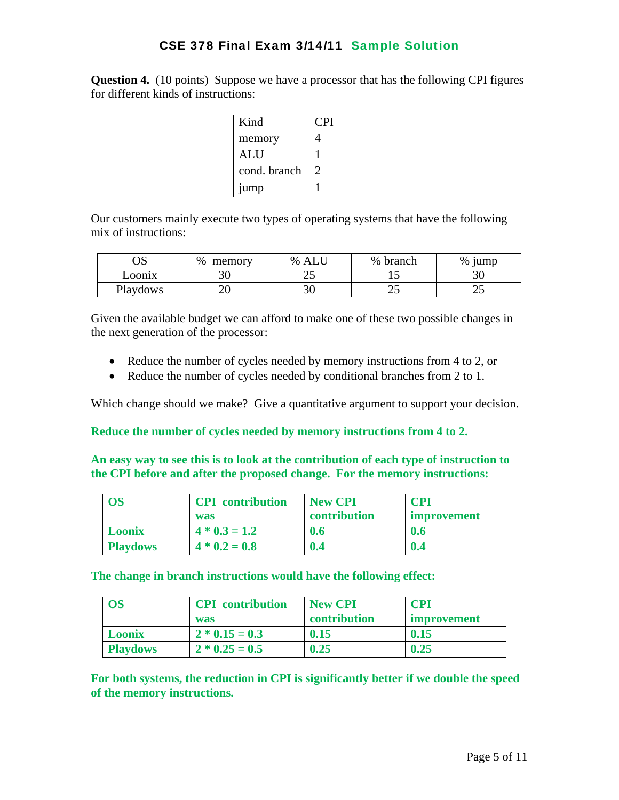**Question 4.** (10 points) Suppose we have a processor that has the following CPI figures for different kinds of instructions:

| Kind         | <b>CPI</b> |
|--------------|------------|
| memory       |            |
| <b>ALU</b>   |            |
| cond. branch |            |
| jump         |            |

Our customers mainly execute two types of operating systems that have the following mix of instructions:

| ΛC<br>US | %<br>memory | % | $\%$<br>branch | $\%$<br>jumr |
|----------|-------------|---|----------------|--------------|
| Loonix   | υU          | ت |                | ◡            |
| Playdows | ∠∪          | ◡ | ت              | ~~           |

Given the available budget we can afford to make one of these two possible changes in the next generation of the processor:

- Reduce the number of cycles needed by memory instructions from 4 to 2, or
- Reduce the number of cycles needed by conditional branches from 2 to 1.

Which change should we make? Give a quantitative argument to support your decision.

**Reduce the number of cycles needed by memory instructions from 4 to 2.** 

**An easy way to see this is to look at the contribution of each type of instruction to the CPI before and after the proposed change. For the memory instructions:** 

| <b>OS</b>       | <b>CPI</b> contribution<br>was | <b>New CPI</b><br>contribution | CPI<br><b>Improvement</b> |
|-----------------|--------------------------------|--------------------------------|---------------------------|
| <b>Loonix</b>   | $4 * 0.3 = 1.2$                | 0.6                            | 0.6                       |
| <b>Playdows</b> | $4 * 0.2 = 0.8$                | 0.4                            | 0.4                       |

**The change in branch instructions would have the following effect:** 

| <b>OS</b>       | <b>CPI</b> contribution | <b>New CPI</b> | CPI         |
|-----------------|-------------------------|----------------|-------------|
|                 | was                     | contribution   | improvement |
| <b>Loonix</b>   | $2 * 0.15 = 0.3$        | 0.15           | 0.15        |
| <b>Playdows</b> | $2 * 0.25 = 0.5$        | 0.25           | 0.25        |

**For both systems, the reduction in CPI is significantly better if we double the speed of the memory instructions.**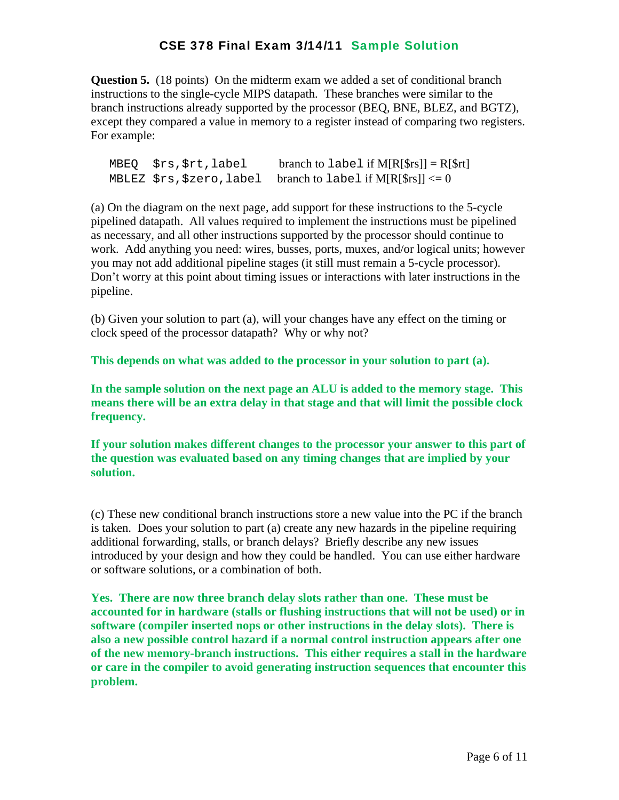**Question 5.** (18 points) On the midterm exam we added a set of conditional branch instructions to the single-cycle MIPS datapath. These branches were similar to the branch instructions already supported by the processor (BEQ, BNE, BLEZ, and BGTZ), except they compared a value in memory to a register instead of comparing two registers. For example:

 $MBEQ$   $$rs$ ,  $$rt$ , label branch to label if  $M[R[$rs]] = R[$rt]$ MBLEZ  $srs$ ,  $szero$ , label branch to label if M[R[ $srs$ ]]  $\leq 0$ 

(a) On the diagram on the next page, add support for these instructions to the 5-cycle pipelined datapath. All values required to implement the instructions must be pipelined as necessary, and all other instructions supported by the processor should continue to work. Add anything you need: wires, busses, ports, muxes, and/or logical units; however you may not add additional pipeline stages (it still must remain a 5-cycle processor). Don't worry at this point about timing issues or interactions with later instructions in the pipeline.

(b) Given your solution to part (a), will your changes have any effect on the timing or clock speed of the processor datapath? Why or why not?

**This depends on what was added to the processor in your solution to part (a).** 

**In the sample solution on the next page an ALU is added to the memory stage. This means there will be an extra delay in that stage and that will limit the possible clock frequency.** 

**If your solution makes different changes to the processor your answer to this part of the question was evaluated based on any timing changes that are implied by your solution.**

(c) These new conditional branch instructions store a new value into the PC if the branch is taken. Does your solution to part (a) create any new hazards in the pipeline requiring additional forwarding, stalls, or branch delays? Briefly describe any new issues introduced by your design and how they could be handled. You can use either hardware or software solutions, or a combination of both.

**Yes. There are now three branch delay slots rather than one. These must be accounted for in hardware (stalls or flushing instructions that will not be used) or in software (compiler inserted nops or other instructions in the delay slots). There is also a new possible control hazard if a normal control instruction appears after one of the new memory-branch instructions. This either requires a stall in the hardware or care in the compiler to avoid generating instruction sequences that encounter this problem.**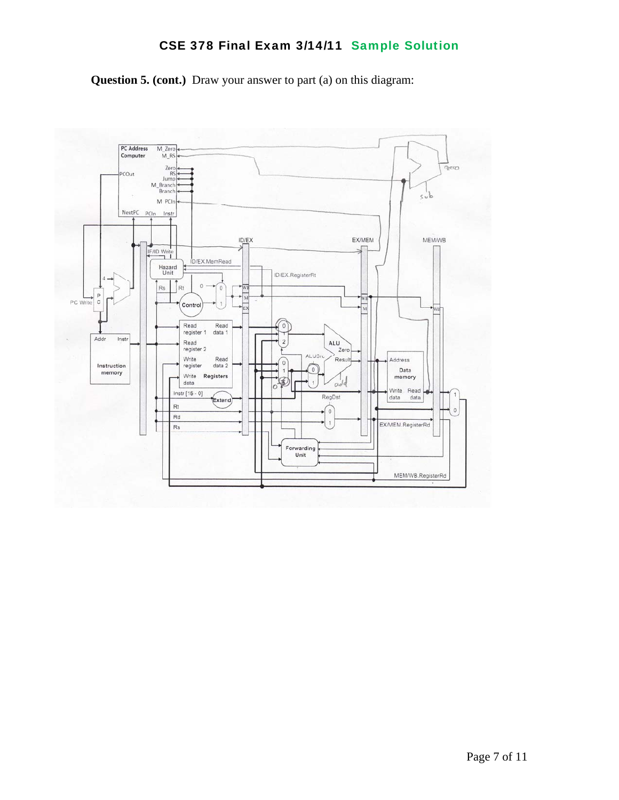

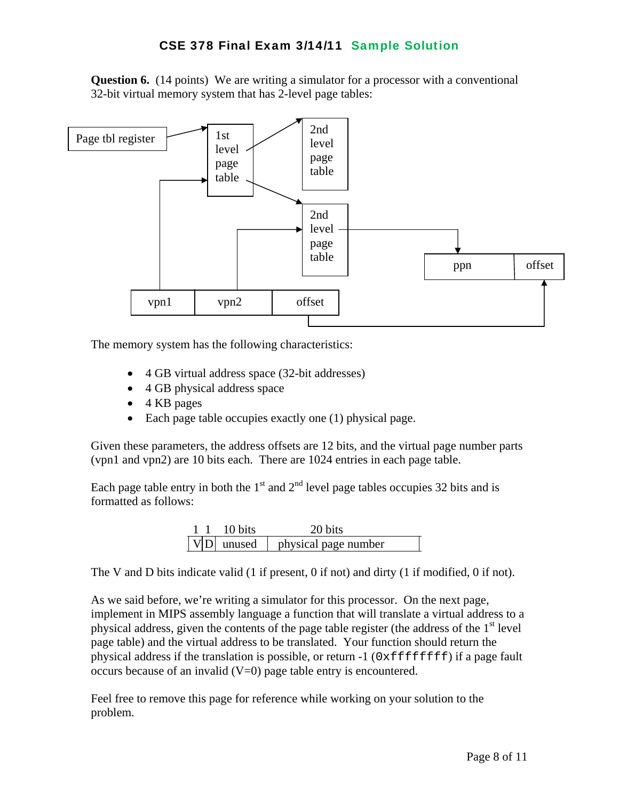**Question 6.** (14 points) We are writing a simulator for a processor with a conventional 32-bit virtual memory system that has 2-level page tables:



The memory system has the following characteristics:

- 4 GB virtual address space (32-bit addresses)
- 4 GB physical address space
- 4 KB pages
- Each page table occupies exactly one (1) physical page.

Given these parameters, the address offsets are 12 bits, and the virtual page number parts (vpn1 and vpn2) are 10 bits each. There are 1024 entries in each page table.

Each page table entry in both the  $1<sup>st</sup>$  and  $2<sup>nd</sup>$  level page tables occupies 32 bits and is formatted as follows:

|  | 10 bits        | 20 bits              |
|--|----------------|----------------------|
|  | $ V D $ unused | physical page number |

The V and D bits indicate valid (1 if present, 0 if not) and dirty (1 if modified, 0 if not).

As we said before, we're writing a simulator for this processor. On the next page, implement in MIPS assembly language a function that will translate a virtual address to a physical address, given the contents of the page table register (the address of the  $1<sup>st</sup>$  level page table) and the virtual address to be translated. Your function should return the physical address if the translation is possible, or return  $-1$  ( $0 \times \text{effiff}$ ) if a page fault occurs because of an invalid  $(V=0)$  page table entry is encountered.

Feel free to remove this page for reference while working on your solution to the problem.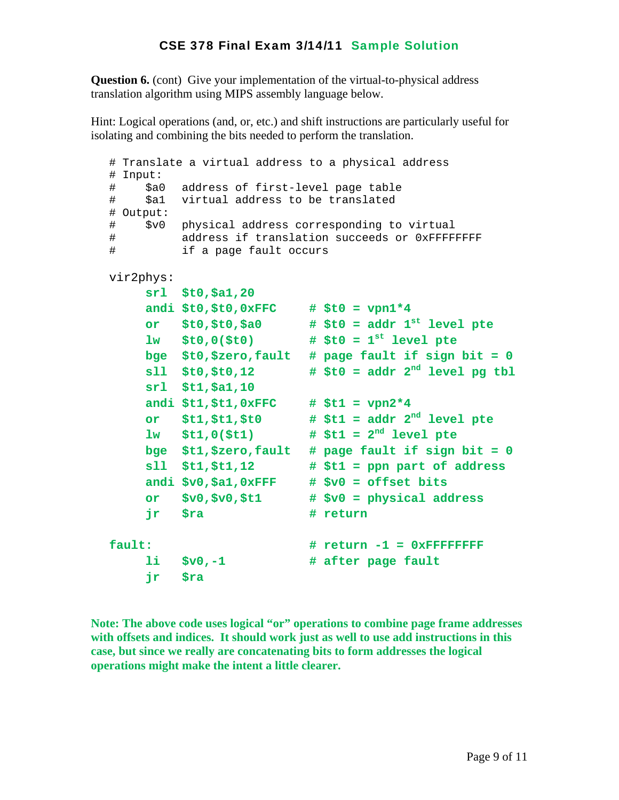**Question 6.** (cont) Give your implementation of the virtual-to-physical address translation algorithm using MIPS assembly language below.

Hint: Logical operations (and, or, etc.) and shift instructions are particularly useful for isolating and combining the bits needed to perform the translation.

```
 # Translate a virtual address to a physical address 
 # Input: 
 # $a0 address of first-level page table 
 # $a1 virtual address to be translated 
 # Output: 
 # $v0 physical address corresponding to virtual 
 # address if translation succeeds or 0xFFFFFFFF 
 # if a page fault occurs 
 vir2phys: 
     srl $t0,$a1,20 
     andi $t0,$t0,0xFFC # $t0 = vpn1*4 
     or $t0,$t0,$a0 # $t0 = addr 1st level pte 
     lw $t0,0($t0) # $t0 = 1st level pte 
     bge $t0,$zero,fault # page fault if sign bit = 0 
     sll $t0,$t0,12 # $t0 = addr 2nd level pg tbl 
     srl $t1,$a1,10 
     andi $t1,$t1,0xFFC # $t1 = vpn2*4 
     or $t1,$t1,$t0 # $t1 = addr 2nd level pte 
     lw $t1,0($t1) # $t1 = 2nd level pte 
     bge $t1,$zero,fault # page fault if sign bit = 0 
     sll $t1,$t1,12 # $t1 = ppn part of address 
     andi $v0,$a1,0xFFF # $v0 = offset bits 
     or $v0,$v0,$t1 # $v0 = physical address 
    ir $ra    # return
fault: \text{# return -1 = 0xFFFFFF} li $v0,-1 # after page fault 
     jr $ra
```
**Note: The above code uses logical "or" operations to combine page frame addresses with offsets and indices. It should work just as well to use add instructions in this case, but since we really are concatenating bits to form addresses the logical operations might make the intent a little clearer.**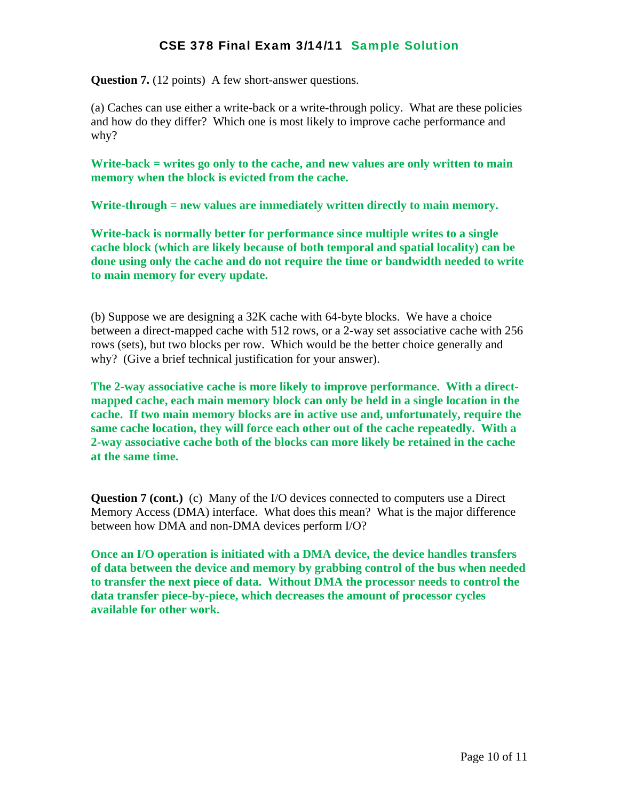**Question 7.** (12 points) A few short-answer questions.

(a) Caches can use either a write-back or a write-through policy. What are these policies and how do they differ? Which one is most likely to improve cache performance and why?

**Write-back = writes go only to the cache, and new values are only written to main memory when the block is evicted from the cache.** 

**Write-through = new values are immediately written directly to main memory.** 

**Write-back is normally better for performance since multiple writes to a single cache block (which are likely because of both temporal and spatial locality) can be done using only the cache and do not require the time or bandwidth needed to write to main memory for every update.**

(b) Suppose we are designing a 32K cache with 64-byte blocks. We have a choice between a direct-mapped cache with 512 rows, or a 2-way set associative cache with 256 rows (sets), but two blocks per row. Which would be the better choice generally and why? (Give a brief technical justification for your answer).

**The 2-way associative cache is more likely to improve performance. With a directmapped cache, each main memory block can only be held in a single location in the cache. If two main memory blocks are in active use and, unfortunately, require the same cache location, they will force each other out of the cache repeatedly. With a 2-way associative cache both of the blocks can more likely be retained in the cache at the same time.** 

**Question 7 (cont.)** (c) Many of the I/O devices connected to computers use a Direct Memory Access (DMA) interface. What does this mean? What is the major difference between how DMA and non-DMA devices perform I/O?

**Once an I/O operation is initiated with a DMA device, the device handles transfers of data between the device and memory by grabbing control of the bus when needed to transfer the next piece of data. Without DMA the processor needs to control the data transfer piece-by-piece, which decreases the amount of processor cycles available for other work.**